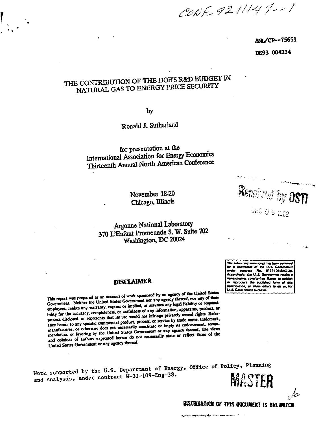CONF 9211147-1

**ANL/CP-75651** DE93 004234

### THE CONTRIBUTION OF THE DOE'S R&D BUDGET IN NATURAL GAS TO ENERGY PRICE SECURITY

by

Ronald J. Sutherland

for presentation at the International Association for Energy Economics Thirteenth Annual North American Conference

> November 18-20 Chicago, Illinois

### Argonne National Laboratory 370 L'Enfant Promenade S. W. Suite 702 Washington, DC 20024

The submitted manuscript has be contractor of the U.S. G contract No. W-31-100-ENG-30 ngly, the U.S. Government retail .<br>1. royalty-frae li reproduce the published rtion, or al v others im die en **U.S. Govern** 

nt Curbos

Received by OST

953.9.0 pm

#### **DISCLAIMER**

This report was prepared as an account of work sponsored by an agency of the United States Government. Neither the United States Government nor any agency thereof, nor any of their employees, makes any warranty, express or implied, or assumes any legal liability or responsibility for the accuracy, completeness, or usefulness of any information, apparatus, product, or process disclosed, or represents that its use would not infringe privately owned rights. Reference herein to any specific commercial product, process, or service by trade name, trademark, manufacturer, or otherwise does not necessarily constitute or imply its endorsement, recommendation, or favoring by the United States Government or any agency thereof. The views and opinions of authors expressed herein do not necessarily state or reflect those of the United States Government or any agency thereof.

Work supported by the U.S. Department of Energy, Office of Policy, Planning and Analysis, under contract W-31-109-Eng-38. MASTER

BISTRIBUTION OF THIS OUCUMENT IS UNLIMITED

حاكرى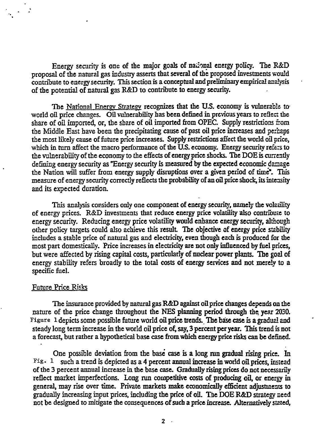Energy security is one of the major goals of national energy policy. The R&D proposal of the natural gas industry asserts that several of the proposed investments would contribute to energy security. This section is a conceptual and preliminary empirical analysis of the potential of natural gas R&D to contribute to energy security.

The National Energy Strategy recognizes that the U.S. economy is vulnerable to world oil price changes. Oil vulnerability has been defined in previous years to reflect the share of oil imported, or, the share of oil imported from OPEC. Supply restrictions from the Middle East have been the precipitating cause of past oil price increases and perhaps the most likely cause of future price increases. Supply restrictions affect the world oil price, which in turn affect the macro performance of the U.S. economy. Energy security refers to the vulnerability of the economy to the effects of energy price shocks. The DOE is currently defining energy security as "Energy security is measured by the expected economic danage the Nation will suffer from energy supply disruptions over a given period of time". This measure of energy security correctly reflects the probability of an oil price shock, its intensity and its expected duration.

This analysis considers only one component of energy security, namely the volatility of energy prices. R&D investments that reduce energy price volatility also contribute to energy security. Reducing energy price volatility would enhance energy security, although other policy targets could also achieve this result The objective of energy price stability includes a stable price of natural gas and electricity, even though each is produced for the most part domestically. Price increases in electricity are not only influenced by fuel prices, but were affected by rising capital costs, particularly of nuclear power plants. The goal of energy stability refers broadly to the total costs of energy services and not merely to a specific fuel.

### Future Price Risks

The insurance provided by natural gas R&D against oil price changes depends on the nature of the price change throughout the NES planning period through the year 2030. Figure 1 depicts some possible future world oil price trends. The base case is a gradual and steady long term increase in the world oil price of, say, 3 percent per year. This trend is not a forecast, but rather a hypothetical base case from which energy price risks can be defined.

One possible deviation from the base case is a long run gradual rising pries. In Fig. 1 such a trend is depicted as a 4 percent annual increase in world oil prices, instead of the 3 percent annual increase in the base case. Gradually rising prices do not necessarily reflect market imperfections. Long run competitive costs of producing oil, or energy in general, may rise over time. Private markets make economically efficient adjustments to gradually increasing input prices, including the price of oil. Ttie DOE R&D strategy need not be designed to mitigate the consequences of such a price increase. Alternatively stated,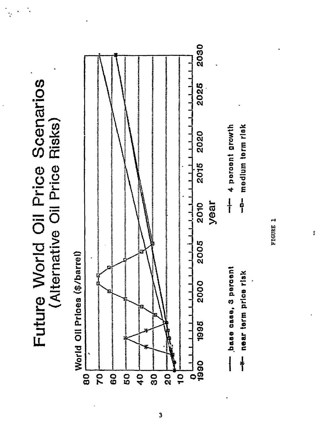Future World Oil Price Scenarios (Alternative Oil Price Risks)



FIGURE 1

Ī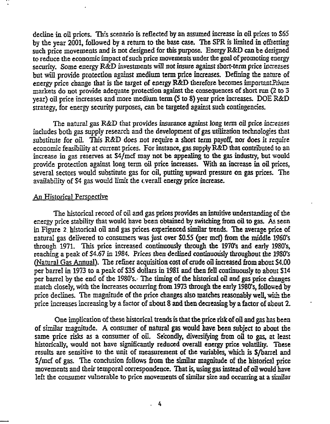decline in oil prices. This scenario is reflected by an assumed increase in oil prices to \$65 by the year 2001, followed by a return to the base case. The SPR is limited in offsetting such price movements and is not designed for this purpose. Energy R&D can be designed to reduce the economic impact of such price movements under the goal of promoting energy security. Some energy R&D investments will not insure against short-term price increases but will provide protection against medium term price increases. Defining the nature of energy price change that is the target of energy  $R&D$  therefore becomes important  $P_{\text{noise}}$ markets do not provide adequate protection against the consequences of short run (2 to 3 year) oil price increases and more medium term (5 to 8) year price increases. DOE R&D strategy, for energy security purposes, can be targeted against such contingencies.

The natural gas R&D that provides insurance against long term oil price increases includes both gas supply research and the development of gas utilization technologies that substitute for oil. This  $R\&D$  does not require a short term payoff, nor does it require economic feasibility at current prices. For instance, gas supply R&D that contributed to an increase in gas reserves at S4/mcf may not be appealing to the gas industry, but would provide protection against long term oil price increases. With an increase in oil prices, several sectors would substitute gas for oil, putting upward pressure on gas prices. The availability of S4 gas would limit the overall energy price increase.

### An Historical Perspective

The historical record of oil and gas prices provides an intuitive understanding of the energy price stability that would have been obtained by switching from oil to gas. As seen in Figure 2 historical oil and gas prices experienced similar trends. The average price of natural gas delivered to consumers was just over \$055 {per mcf) from the middle 1960's through 1971. This price increased continuously through the  $1970's$  and early 1980's, reaching a peak of \$4.67 in 1984. Prices then declined continuously throughout the 1980's (Natural Gas Annual). The refiner acquisition cost of crude oil increased from about S4.00 per barrel in 1973 to a peak of S35 dollars in 1981 and then fell continuously to about S14 per barrel by the end of the 1980's.- The timing of the historical oil and gas price changes match closely, with the increases occurring from 1973 through the early 1980's, followed by price declines. The magnitude of the price changes also matches reasonably well, with the price increases increasing by a factor of about 8 and then decreasing by a factor of about 2.

One implication of these historical trends is that the price risk of oil and gas has been of similar magnitude. A consumer of natural gas would have been subject to about the same price risks as a consumer of oil. Secondly, diversifying from oil to gas, at least historically, would not have significantly reduced overall energy price volatility. These results are sensitive to the unit of measurement of the variables, which is S/barrel and S/mcf of gas. The conclusion follows from the similar magnitude of the historical price movements and their temporal correspondence. That is, using gas instead of oil would have left the consumer vulnerable to price movements of similar size and occurring at a similar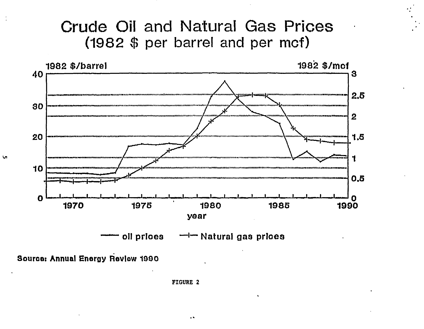## Crude Oil and Natural Gas Prices (1982 \$ per barrel and per mcf)



Source: Annual Energy Review 1990

**FIGURE 2** 

**v**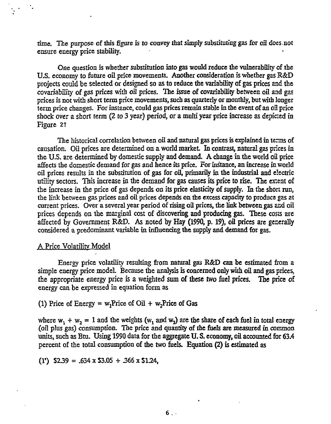time. The purpose of this figure is to convey that simply substituting gas for oil does.not ensure energy price stability.

One question is whether substitution into gas would reduce the vulnerability of the U.S. economy to future oil price movements. Another consideration is whether gas R&D projects could be selected or designed so as to reduce the variability of gas prices and the covariability of gas prices with oil prices. The issue of covariability between oil and gas prices is not with short term price movements, such as quarterly or monthly, but with longer term price changes. For instance, could gas prices remain stable in the event of an oil price shock over a short term (2 to 3 year) period, or a multi year price increase as depicied in Figure 2?

The historical correlation between oil and natural gas prices is explained in terms of causation. Oil prices are determined on a world market In contrast, natural gas prices in the U.S. are determined by domestic supply and demand. A change in the world oil price affects the domestic demand for gas and hence its price. For instance, an increase in world oil prices results in the substitution of gas for oil, primarily in the industrial and electric utility sectors. This increase in the demand for gas causes its price to rise. The extent of the increase in the price of gas depends on its price elasticity of supply. In the short run, the link between gas prices and oil prices depends on. the excess capacity to produce gas at current prices. Over a several year period of rising oil prices, the link between gas and oil prices depends on the marginal cost of discovering and producing gas. These costs are affected by Government R&D. As noted by Hay (1990, p. 19), oil prices are generally considered a predominant variable in influencing the supply and demand for gas.

### A Price Volatility Model

Energy price volatility resulting from natural gas R&D can be estimated from a simple energy price model. Because the analysis is concerned only with oil and gas prices. the appropriate energy price is a weighted sum of these two fuel prices. The price of energy can be expressed in equation form as

(1) Price of Energy =  $w_1$ Price of Oil +  $w_2$ Price of Gas

where  $w_1 + w_2 = 1$  and the weights (w<sub>1</sub> and w<sub>2</sub>) are the share of each fuel in total energy (oil plus gas) consumption. The price and quantity of the fuels are measured in common units, such as Btu. Using 1990 data for the aggregate U. S. economy, oil accounted for 63.4 percent of the total consumption of the two fuels. Equation (2) is estimated as

 $(1')$  \$2.39 = .634 x \$3.05 + .366 x \$1.24,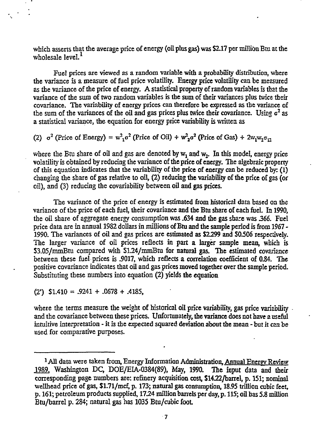which asserts that the average price of energy (oil plus gas) was \$2.17 per million Btu at the wholesale level. $<sup>1</sup>$ </sup>

Fuel prices are viewed as a random variable with a probability distribution, where the variance is a measure of fuel price volatility. Energy price volatility can be measured as the variance of the price of energy. A statistical property of random variables is that the variance of the sum of two random variables is the sum of their variances plus twice their covariance. The variability of energy prices can therefore be expressed as the variance of the sum of the variances of the oil and gas prices plus twice their covariance. Using  $\sigma^2$  as a statistical variance, the equation for energy price variability is written as

(2)  $\sigma^2$  (Price of Energy) =  $w_{1}^{2}\sigma^2$  (Price of Oil) +  $w_{2}^{2}\sigma^2$  (Price of Gas) + 2w<sub>1</sub>w<sub>2</sub> $\sigma_{12}$ 

where the Btu share of oil and gas are denoted by  $w_1$  and  $w_2$ . In this model, energy price volatility is obtained by reducing the variance of the price of energy. The algebraic property of this equation indicates that the variability of the price of energy can be reduced by: (1) changing the share of gas relative to oil, (2) reducing the variability of the price of gas (or oil), and (3) reducing the covariability between oil and gas prices.

The variance of the price of energy is estimated from historical data based on the variance of the price of each fuel, their covariance and the Btu share of each fuel. In 1990, the oil share of aggregate energy consumption was .634 and the gas share was *366.* Fuel price data are in annual 1982 dollars in millions of Btu and the sample period is from 1967 - 1990. The variances of oil and gas prices are estimated as \$2299 and S0.506 respectively. The larger variance of oil prices reflects in part a larger sample mean, which is S3.05/mmBtu compared with S124/mmBtu for natural gas. The estimated covariance between these fuel prices is .9017, which reflects a correlation coefficient of 0.84. The positive covariance indicates that oil and gas prices moved together over the sample period. Substituting these numbers into equation (2) yields the equation

(2') S1.410 = .9241 + .0678 + .4185,

where the terms measure the weight of historical oil price variability, gas price variability. and the covariance between these prices. Unfortunately, the variance does not have a useful intuitive interpretation - it is the expected squared deviation about the mean - but it can be used for comparative purposes.

<sup>&</sup>lt;sup>1</sup> All data were taken from, Energy Information Administration, Annual Energy Review 1989. Washington DC, DOE/EIA-0384(89), May, 1990. The input data and their corresponding page numbers are: refinery acquisition cost, Sl422/barrel, p. 151; nominal wellhead price of gas, \$1.71/mcf, p. 173; natural gas consumption, 18.95 trillion cubic feet, p. 161; petroleum products supplied, 1724 million barrels per day, p. 115; oil has 5.8 million Btu/barrel p. 284; natural gas has 1035 Btu/cubic foot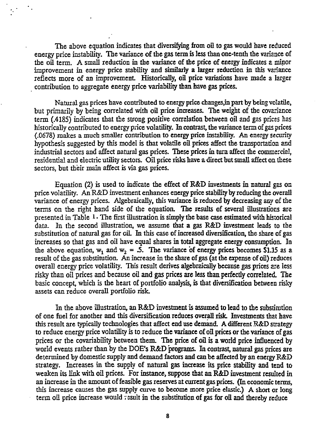The above equation indicates that diversifying from oil to gas would have reduced energy price instability. The variance of the gas term is less than one-tenth the variance of the oil term. A small reduction in the variance of the price of energy indicates a minor improvement in energy price stability and similarly a larger reduction in this variance reflects more of an improvement. Historically, oil price variations have made a larger contribution to aggregate energy price variability than, have gas prices.

Natural gas prices have contributed to energy price changes^npart by being volatile, but primarily by being correlated with oil price increases. The weight of the covariance term (.4185) indicates that the strong positive correlation between oil and gas prices has historically contributed to energy price volatility. In contrast, the variance term of gas prices (.0678) makes a much smaller contribution to energy price instability. An energy security hypothesis suggested by this model is that volatile oil prices affect the transportation and industrial sectors and affect natural gas prices. These prices in turn affect the commercial, residential and electric utility sectors. Oil price risks have a direct but small affect on these sectors, but their main affect is via gas prices.

Equation (2) is used to indicate the effect of R&D investments in natural gas on price volatility. An R&D investment enhances energy price stability by reducing the overall variance of energy prices. Algebraically, this variance is reduced by decreasing any of the terms on the right hand side of the equation. The results of several illustrations are presented in Table  $1 \cdot$  The first illustration is simply the base case estimated with historical data. In the second illustration, we assume that a gas R&D investment leads to the substitution of natural gas for cil. In this case of increased diversification, the share of gas increases so that gas and oil have equal shares in total aggregate energy consumption. In the above equation,  $w_1$  and  $w_2 = .5$ . The variance of energy prices becomes \$1.15 as a result of the gas substitution. An increase in the share of gas (at the expense of oil) reduces overall energy price volatility. This result derives algebraically because gas prices are less risky than oil prices and because oil and gas prices are less than perfectly correlated. The basic concept, which is the heart of portfolio analysis, is that diversification between risky assets can reduce overall portfolio risk.

In the above illustration, an R&D investment is assumed to lead to the substitution of one fuel for another and this diversification reduces overall risk. Investments that have this result are typically technologies that affect end use demand. A different R&D strategy to reduce energy price volatility is to reduce the variance of oil prices or the variance of gas prices or the covariability between them. The price of oil is a world price influenced by world events rather than by the DOE's R&D programs. In contrast, natural gas prices are determined by domestic supply and demand factors and can be affected by an energy R&D strategy. Increases in the supply of natural gas increase its price stability and tend to weaken its link with oil prices. For instance, suppose that an R&D investment resulted in an increase in the amount of feasible gas reserves at current gas prices. (In economic terms, this increase causes the gas supply curve to become more price elastic.) A short or long term oil price increase would result in the substitution of gas for oil and thereby reduce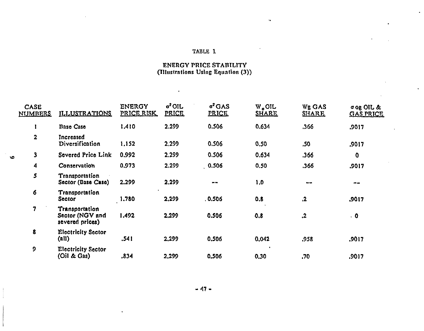### TABLE 1

 $\alpha$ 

 $\mathbf{r}$ 

# **ENERGY PRICE STABILITY**<br>(Illustrations Using Equation (3))

 $\mathbf{r}$ 

| <b>CASE</b><br>NUMBERS | <b>ILLUSTRATIONS</b>                                 | <b>ENERGY</b><br>PRICE RISK | $o2$ OIL<br><b>PRICE</b> | $\sigma^2$ GAS<br><b>PRICE</b> | W.OIL<br><b>SHARE</b>  | Wg GAS<br><b>SHARE</b> | σοg OIL &<br><b>GAS PRICE</b> |
|------------------------|------------------------------------------------------|-----------------------------|--------------------------|--------------------------------|------------------------|------------------------|-------------------------------|
| r                      | <b>Base Case</b>                                     | 1.410                       | 2.299                    | 0.506                          | 0.634                  | .366                   | .9017                         |
| $\overline{2}$         | Increased<br>Diversification                         | 1.152                       | 2.299                    | 0.506                          | 0.50                   | .50                    | .9017                         |
| 3                      | Severed Price Link                                   | 0.992                       | 2.299                    | 0.506                          | 0.634                  | .366                   | 0                             |
| 4                      | Conservation                                         | 0.973                       | 2.299                    | 0.506                          | 0.50                   | .366                   | .9017                         |
| 5                      | Transportation<br>Sector (Base Case)                 | 2.299                       | 2.299                    | $\sim$                         | 1,0                    | --                     | $- -$                         |
| 6                      | Transportation<br><b>Sector</b>                      | 1.780                       | 2,299                    | .0.506                         | 0.8                    | $\ddot{\mathbf{z}}$    | ,9017                         |
| 7                      | Transportation<br>Sector (NGV and<br>severed prices) | 1.492                       | 2,299                    | 0.506                          | 0.8                    | .2                     | $\ddot{\mathbf{0}}$           |
| 8                      | <b>Electricity Sector</b><br>(all)                   | .541                        | 2.299                    | 0.506                          | 0,042                  | .958                   | .9017                         |
| 9                      | <b>Electricity Sector</b><br>(Oil & Gas)             | .834                        | 2,299                    | 0.506                          | $\blacksquare$<br>0,30 | .70                    | .9017                         |
|                        |                                                      |                             |                          |                                |                        |                        |                               |

**vo** 

 $-47 -$ 

 $\ddot{\phantom{a}}$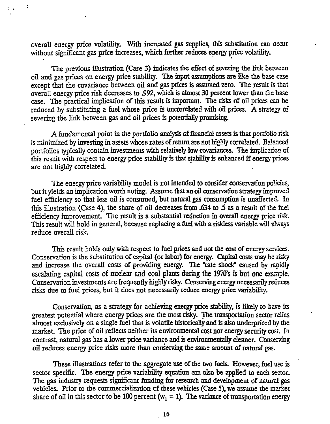overall energy price volatility. With increased gas supplies, this substitution can occur without significant gas price increases, which further reduces energy price volatility.

 $\ddot{\cdot}$ 

The previous illustration (Case 3) indicates the effect of severing the link between oil and gas prices on energy price stability. The input assumptions are like the base case except that the covariance between oil and gas prices is assumed zero. The result is that overall energy price risk decreases to .992, which is almost 30 percent lower than the base case. The practical implication of this result is important. The risks of oil prices can be reduced by substituting a fuel whose price is uncorrelated with oil prices. A strategy of severing the link between gas and oil prices is potentially promising.

A fundamental point in the portfolio analysis of financial assets is that portfolio risk is minimized by investing in assets whose rates of return are not highly correlated. Balanced portfolios typically contain investments with relatively low covariances. The implication of this result with respect to energy price stability is that stability is enhanced if energy prices are not highly correlated.

The energy price variability model is not intended to consider conservation policies, but it yields an implication worth noting. Assume that an oil conservation strategy improved fuel efficiency so that less oil is consumed, but natural gas consumption is unaffected. In this illustration (Case 4), the share of oil decreases from .634 to *5* as a result of the fuel efficiency improvement. The result is a substantial reduction in overall energy price risk. This result will hold in general, because replacing a fuel with a riskless variable will always reduce overall risk.

This result holds only with respect to fuel prices and not the cost of energy services. Conservation is the substitution of capital (or labor) for energy. Capital costs may be risky and increase the overall costs of providing energy. The "rate shock" caused by rapidly escalating capital costs of nuclear and coal plants during **the 1970\*s** is but one example. Conservation investments are frequently highly risky. Conserving energy necessarily reduces risks due to fuel prices, but it does not necessarily reduce energy price variability.

Conservation, as a strategy for achieving energy price stability, is likely to have its greatest potential where energy prices are the most risky. The transportation sector relies almost exclusively on a single fuel that is volatile historically and is also underpriced by the market. The price of oil reflects neither its environmental cost nor energy security cost. In contrast, natural gas has a lower price variance and is environmentally cleaner. Conserving oil reduces energy price risks more than conserving the same amount of natural gas.

These illustrations refer to the aggregate use of the two fuels. However, fuel use is sector specific. The energy price variability equation can also be applied to each sector. The gas industry requests significant funding for research and development of natural gas vehicles. Prior to the commercialization of these vehicles (Case 5), we assume the market share of oil in this sector to be 100 percent ( $w<sub>1</sub> = 1$ ). The variance of transportation energy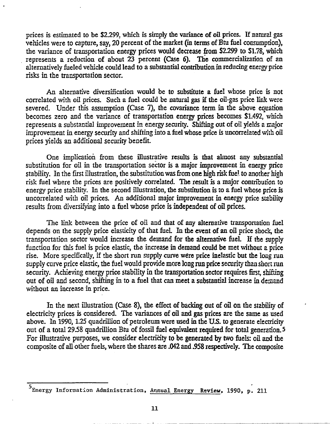prices is estimated to be *\$229%* which is simply the variance of oil prices. If natural gas vehicles were to capture, say, 20 percent of the market (in terms of Btu fuel consumption), the variance of transportation energy prices would decrease from \$2.299 to \$1.78, which represents a reduction of about 23 percent (Case 6). The commercializatioa of an alternatively fueled vehicle could lead to a substantial contribution in reducing energy price risks in the transportation sector.

An alternative diversification would be to substitute a fuel whose price is not correlated with oil prices. Such a fuel could be natural gas if the oil-gas price link were severed. Under this assumption (Case 7), the covariance term in the above equation becomes zero and the variance of transportation energy prices becomes \$1.492, which represents a substantial improvement in energy security. Shifting out of oil yields a major improvement in energy security and shifting into a fuel whose price is uncorrelaied with oil prices yields an additional security benefit.

One implication from these illustrative results is that almost any substantial substitution for oil in the transportation sector is a major improvement in energy price stability. In the first illustration, the substitution was from one high risk fuel to another high risk fuel where the prices are positively correlated. The result is a major contribution to energy price stability. In the second illustration, the substitution is to a fuel whose price is uncorrelated with oil prices. An additional major improvement in energy price stability results from diversifying into a fuel whose price is independent of oil prices.

The link between the price of oil and that of any alternative transportation fuel depends on the supply price elasticity of that fuel. In the event of an oil price shock, the transportation sector would increase the demand for the alternative fuel. If the supply function for this fuel is price elastic, the increase in demand could be met without a price rise. More specifically, if the short run supply curve were price inelastic but the long run supply curve price elastic, the fuel would provide more long run price security than short ran security. Achieving energy price stability in the transportation sector requires first, shifting out of oil and second, shifting in to a fuel that can meet a substantial increase in demand without an increase in price.

In the next illustration (Case 8), the effect of backing out of oil on the stability of electricity prices is considered. The variances of oil and gas prices are the same as used above. In 1990, 1.25 quadrillion of petroleum were used in the U.S. to generate electricity out of a total 2958 quadrillion Btu of fossil fuel equivalent required for total generation. 5 For illustrative purposes, we consider electricity to be generated by two fuels: oil and the composite of all other fuels, where the shares are .042 and .958 respectively. The composite

<sup>&</sup>lt;sup>5</sup>Energy Information Administration, Annual Energy Review, 1990, p. 211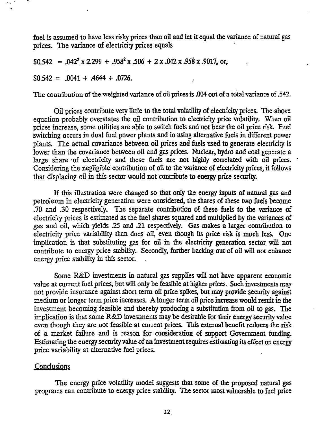fuel is assumed to have less risky prices than oil and let it equal the variance of natural gas prices. The variance of electricity prices equals

 $$0.542 = .042^2 \times 2.299 + .958^2 \times .506 + 2 \times .042 \times .958 \times .9017, \text{ or,}$ 

 $$0.542 = .0041 + .4644 + .0726.$ 

The contribution of the weighted variance of oil prices is .004 out of a total variance of .542.

Oil prices contribute very little to the total volatility of electricity prices. The above equation probably overstates the oil contribution to electricity price volatility. When oil prices increase, some utilities are able to switch fuels and not bear the oil price risk. Fuel switching occurs in dual fuel power plants and in using alternative fuels in different power plants. The actual covariance between oil prices and fuels used to generate electricity is lower than the covariance between oil and gas prices. Nuclear, hydro and coal generate a large share of electricity and these fuels are not highly correlated with oil prices. Considering the negligible contribution of oil to the variance of electricity prices, it follows that displacing oil in this sector would not contribute to energy price security.

If this illustration were changed so that only the energy inputs of natural gas and petroleum in electricity generation were considered, the shares of these two fuels become .70 and .30 respectively. The separate contribution of these fuels to the variance of electricity prices is estimated as the fuel shares squared and multiplied by the variances of gas and oil, which yields .25 and .21 respectively. Gas makes a larger contribution to electricity price variability than does oil, even though its price risk is much less. One implication is that substituting gas for oil in the electricity generation sector will not contribute to energy price stability. Secondly, further backing out of oil will not enhance energy price stability in this sector.

Some R&D investments in natural gas supplies will not have apparent economic value at current fuel prices, but will only be feasible at higher prices. Such investments may not provide insurance against short term oil price spikes, but may provide security against medium or longer term price increases. A longer term oil price increase would result in the investment becoming feasible and thereby producing a substitution from oil to gas. The implication is that some R&D investments may be desirable for their energy security value even though they are not feasible at current prices. This external benefit reduces the risk of a market failure and is reason for consideration of support Government fimding. Estimating the energy security value of an investment requires estimating its effect on energy price variability at alternative fuel prices.

### Conclusions

The energy price volatility model suggests that some of the proposed natural gas programs can contribute to energy price stability. The sector most vulnerable to fuel price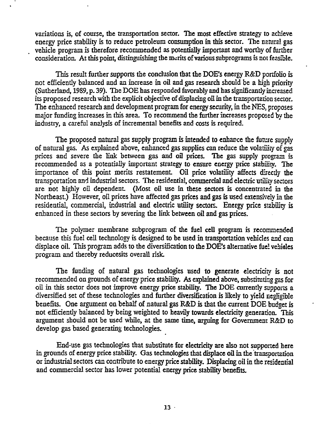variations is, of course, the transportation sector. The most effective strategy to achieve energy price stability is to reduce petroleum consumption in this sector. The natural gas vehicle program is therefore recommended as potentially important and worthy of further consideration. At this point, distinguishing the merits of various subprograms is not feasfole.

This result further supports the conclusion that the DOE's energy R&D portfolio is not efficiently balanced and an increase in oil and gas research should be a high priority (Sutherland, 1989, p. 39). The DOE has responded favorably and has significantly increased its proposed research with the explicit objective of displacing oil in the transportation sector. The enhanced research and development program for energy security, in the NES. proposes major funding increases in this area. To recommend the further increases proposed by the industry, a careful analysis of incremental benefits and costs is required.

The proposed natural gas supply program is intended to enhance the future supply of natural gas. As explained above, enhanced gas supplies can reduce the volatility of gas prices and severe the link between gas and oil prices. The gas supply program is recommended as a potentially important strategy to ensure energy price stability. The importance of this point merits restatement Oil price volatility affects directly the transportation and industrial sectors. The residential, commercial and electric utility sectors are not highly oil dependent (Most oil use in these sectors is concentrated in the Northeast) However, oil prices have affected gas prices and gas is used extensively in the residential, commercial, industrial and electric utility sectors. Energy price stability is enhanced in these sectors by severing the link between oil and gas prices.

The polymer membrane subprogram of the fuel cell program is recommended because this fuel cell technology is designed to be used in transportation vehicles and can displace oil. This program adds to the diversification to the DOE's alternative fuel vehicles program and thereby reducesits overall risk.

The funding of natural gas technologies used to generate electricity is not recommended on grounds of energy price stability. As explained above, substituting gas for oil in this sector does not improve energy price stability. The DOE currently supports a diversified set of these technologies and further diversification is likely to yield negligible benefits. One argument on behalf of natural gas R&D is that the current DOE budget is not efficiently balanced by being weighted to heavily towards electricity generation. This argument should not be used while, at the same time, arguing for Government R&D to develop gas based generating technologies.

End-use gas technologies that substitute for electricity are also not supported here in grounds of energy price stability. Gas technologies that displace oil in the transportation or industrial sectors can contribute to energy price stability. Displacing oil in the residential and commercial sector has lower potential energy price stability benefits.